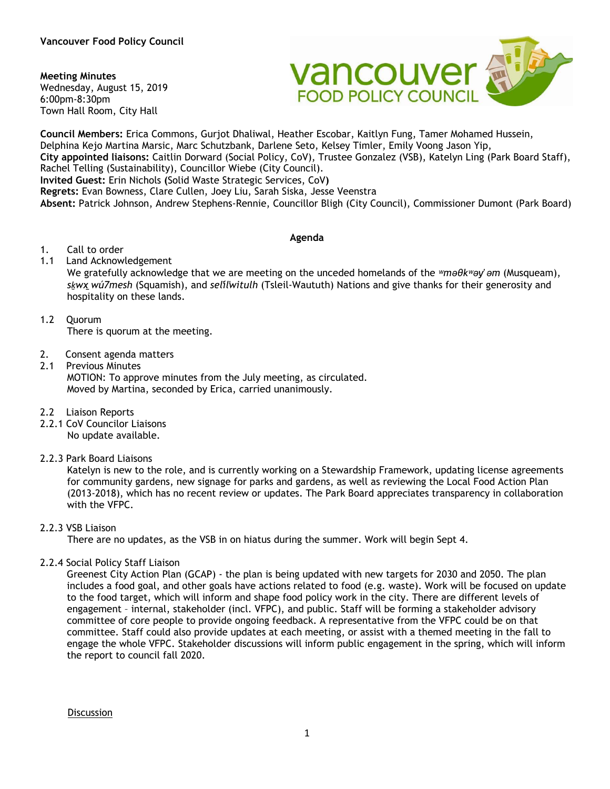### **Meeting Minutes**

Wednesday, August 15, 2019 6:00pm-8:30pm Town Hall Room, City Hall



**Council Members:** Erica Commons, Gurjot Dhaliwal, Heather Escobar, Kaitlyn Fung, Tamer Mohamed Hussein, Delphina Kejo Martina Marsic, Marc Schutzbank, Darlene Seto, Kelsey Timler, Emily Voong Jason Yip, **City appointed liaisons:** Caitlin Dorward (Social Policy, CoV), Trustee Gonzalez (VSB), Katelyn Ling (Park Board Staff), Rachel Telling (Sustainability), Councillor Wiebe (City Council). **Invited Guest:** Erin Nichols **(**Solid Waste Strategic Services, CoV**) Regrets:** Evan Bowness, Clare Cullen, Joey Liu, Sarah Siska, Jesse Veenstra **Absent:** Patrick Johnson, Andrew Stephens-Rennie, Councillor Bligh (City Council), Commissioner Dumont (Park Board)

#### **Agenda**

- 1. Call to order
- 1.1 Land Acknowledgement

We gratefully acknowledge that we are meeting on the unceded homelands of the *ʷməθkʷəy̓ əm* (Musqueam), *sḵwx̱ wú7mesh* (Squamish), and *sel̓íl̓witulh* (Tsleil-Waututh) Nations and give thanks for their generosity and hospitality on these lands.

1.2 Quorum

There is quorum at the meeting.

- 2. Consent agenda matters
- 2.1 Previous Minutes

MOTION: To approve minutes from the July meeting, as circulated. Moved by Martina, seconded by Erica, carried unanimously.

- 2.2 Liaison Reports
- 2.2.1 CoV Councilor Liaisons No update available.
- 2.2.3 Park Board Liaisons

Katelyn is new to the role, and is currently working on a Stewardship Framework, updating license agreements for community gardens, new signage for parks and gardens, as well as reviewing the Local Food Action Plan (2013-2018), which has no recent review or updates. The Park Board appreciates transparency in collaboration with the VFPC.

# 2.2.3 VSB Liaison

There are no updates, as the VSB in on hiatus during the summer. Work will begin Sept 4.

2.2.4 Social Policy Staff Liaison

Greenest City Action Plan (GCAP) - the plan is being updated with new targets for 2030 and 2050. The plan includes a food goal, and other goals have actions related to food (e.g. waste). Work will be focused on update to the food target, which will inform and shape food policy work in the city. There are different levels of engagement – internal, stakeholder (incl. VFPC), and public. Staff will be forming a stakeholder advisory committee of core people to provide ongoing feedback. A representative from the VFPC could be on that committee. Staff could also provide updates at each meeting, or assist with a themed meeting in the fall to engage the whole VFPC. Stakeholder discussions will inform public engagement in the spring, which will inform the report to council fall 2020.

**Discussion**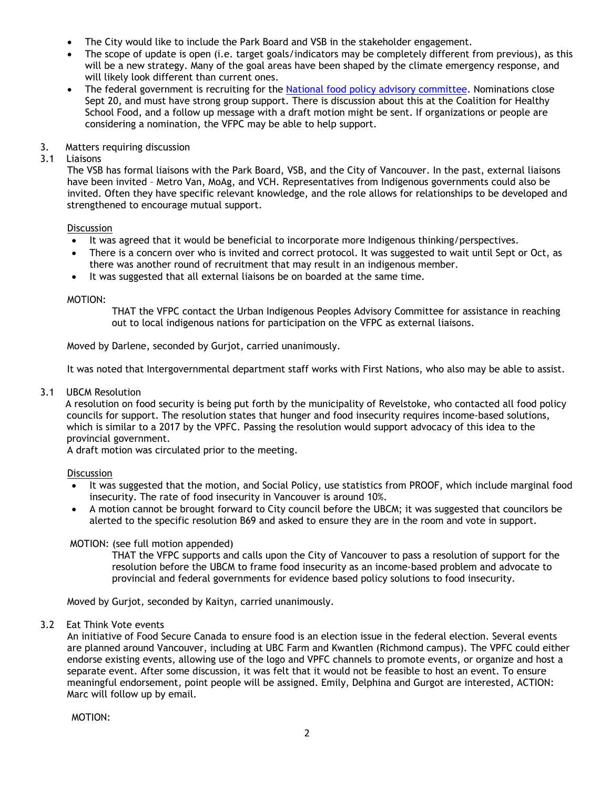- The City would like to include the Park Board and VSB in the stakeholder engagement.
- The scope of update is open (i.e. target goals/indicators may be completely different from previous), as this will be a new strategy. Many of the goal areas have been shaped by the climate emergency response, and will likely look different than current ones.
- The federal government is recruiting for the [National food policy advisory committee.](https://www.canada.ca/en/campaign/food-policy/thecanadianfoodpolicyadvisorycouncil.html) Nominations close Sept 20, and must have strong group support. There is discussion about this at the Coalition for Healthy School Food, and a follow up message with a draft motion might be sent. If organizations or people are considering a nomination, the VFPC may be able to help support.
- 3. Matters requiring discussion<br>3.1 Liaisons

# **Liaisons**

The VSB has formal liaisons with the Park Board, VSB, and the City of Vancouver. In the past, external liaisons have been invited – Metro Van, MoAg, and VCH. Representatives from Indigenous governments could also be invited. Often they have specific relevant knowledge, and the role allows for relationships to be developed and strengthened to encourage mutual support.

# **Discussion**

- It was agreed that it would be beneficial to incorporate more Indigenous thinking/perspectives.
- There is a concern over who is invited and correct protocol. It was suggested to wait until Sept or Oct, as there was another round of recruitment that may result in an indigenous member.
- It was suggested that all external liaisons be on boarded at the same time.

# MOTION:

THAT the VFPC contact the Urban Indigenous Peoples Advisory Committee for assistance in reaching out to local indigenous nations for participation on the VFPC as external liaisons.

Moved by Darlene, seconded by Gurjot, carried unanimously.

It was noted that Intergovernmental department staff works with First Nations, who also may be able to assist.

# 3.1 UBCM Resolution

A resolution on food security is being put forth by the municipality of Revelstoke, who contacted all food policy councils for support. The resolution states that hunger and food insecurity requires income-based solutions, which is similar to a 2017 by the VPFC. Passing the resolution would support advocacy of this idea to the provincial government.

A draft motion was circulated prior to the meeting.

# **Discussion**

- It was suggested that the motion, and Social Policy, use statistics from PROOF, which include marginal food insecurity. The rate of food insecurity in Vancouver is around 10%.
- A motion cannot be brought forward to City council before the UBCM; it was suggested that councilors be alerted to the specific resolution B69 and asked to ensure they are in the room and vote in support.

# MOTION: (see full motion appended)

THAT the VFPC supports and calls upon the City of Vancouver to pass a resolution of support for the resolution before the UBCM to frame food insecurity as an income-based problem and advocate to provincial and federal governments for evidence based policy solutions to food insecurity.

Moved by Gurjot, seconded by Kaityn, carried unanimously.

# 3.2 Eat Think Vote events

An initiative of Food Secure Canada to ensure food is an election issue in the federal election. Several events are planned around Vancouver, including at UBC Farm and Kwantlen (Richmond campus). The VPFC could either endorse existing events, allowing use of the logo and VPFC channels to promote events, or organize and host a separate event. After some discussion, it was felt that it would not be feasible to host an event. To ensure meaningful endorsement, point people will be assigned. Emily, Delphina and Gurgot are interested, ACTION: Marc will follow up by email.

MOTION: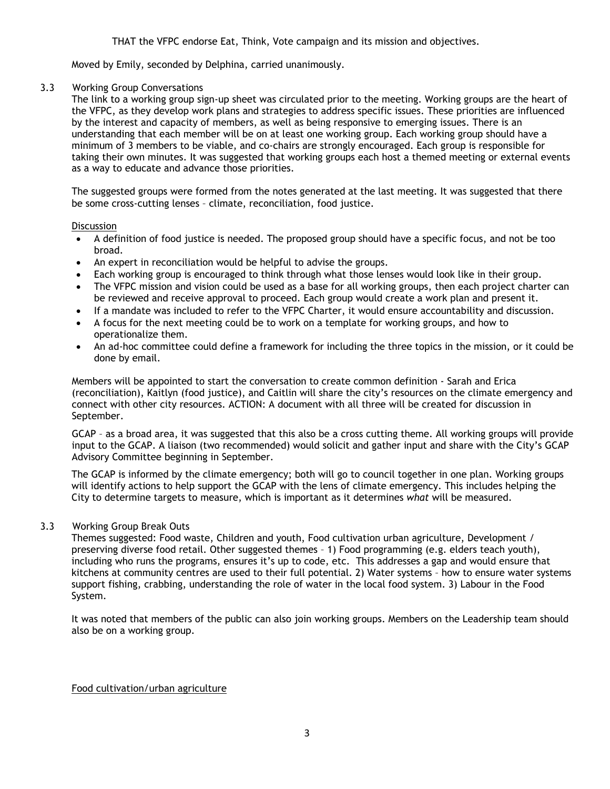Moved by Emily, seconded by Delphina, carried unanimously.

### 3.3 Working Group Conversations

The link to a working group sign-up sheet was circulated prior to the meeting. Working groups are the heart of the VFPC, as they develop work plans and strategies to address specific issues. These priorities are influenced by the interest and capacity of members, as well as being responsive to emerging issues. There is an understanding that each member will be on at least one working group. Each working group should have a minimum of 3 members to be viable, and co-chairs are strongly encouraged. Each group is responsible for taking their own minutes. It was suggested that working groups each host a themed meeting or external events as a way to educate and advance those priorities.

The suggested groups were formed from the notes generated at the last meeting. It was suggested that there be some cross-cutting lenses – climate, reconciliation, food justice.

### **Discussion**

- A definition of food justice is needed. The proposed group should have a specific focus, and not be too broad.
- An expert in reconciliation would be helpful to advise the groups.
- Each working group is encouraged to think through what those lenses would look like in their group.
- The VFPC mission and vision could be used as a base for all working groups, then each project charter can be reviewed and receive approval to proceed. Each group would create a work plan and present it.
- If a mandate was included to refer to the VFPC Charter, it would ensure accountability and discussion.
- A focus for the next meeting could be to work on a template for working groups, and how to operationalize them.
- An ad-hoc committee could define a framework for including the three topics in the mission, or it could be done by email.

Members will be appointed to start the conversation to create common definition - Sarah and Erica (reconciliation), Kaitlyn (food justice), and Caitlin will share the city's resources on the climate emergency and connect with other city resources. ACTION: A document with all three will be created for discussion in September.

GCAP – as a broad area, it was suggested that this also be a cross cutting theme. All working groups will provide input to the GCAP. A liaison (two recommended) would solicit and gather input and share with the City's GCAP Advisory Committee beginning in September.

The GCAP is informed by the climate emergency; both will go to council together in one plan. Working groups will identify actions to help support the GCAP with the lens of climate emergency. This includes helping the City to determine targets to measure, which is important as it determines *what* will be measured.

# 3.3 Working Group Break Outs

Themes suggested: Food waste, Children and youth, Food cultivation urban agriculture, Development / preserving diverse food retail. Other suggested themes – 1) Food programming (e.g. elders teach youth), including who runs the programs, ensures it's up to code, etc. This addresses a gap and would ensure that kitchens at community centres are used to their full potential. 2) Water systems – how to ensure water systems support fishing, crabbing, understanding the role of water in the local food system. 3) Labour in the Food System.

It was noted that members of the public can also join working groups. Members on the Leadership team should also be on a working group.

# Food cultivation/urban agriculture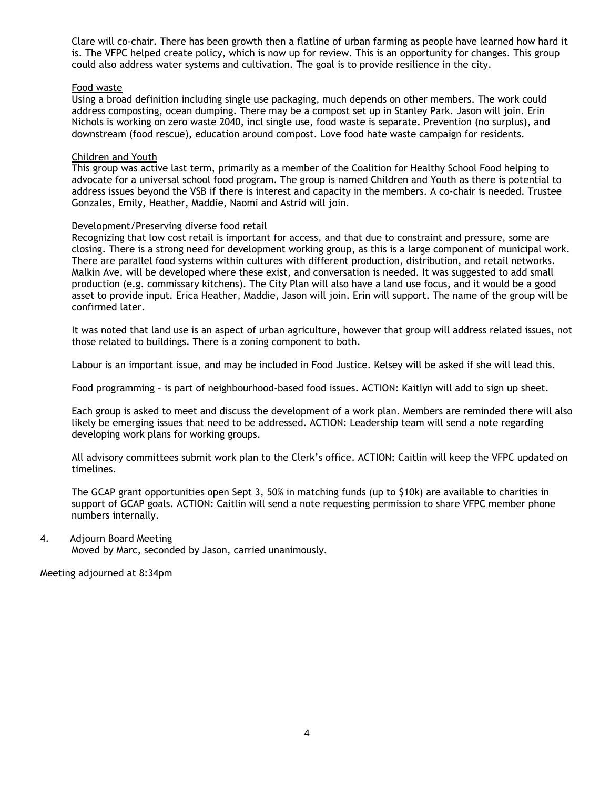Clare will co-chair. There has been growth then a flatline of urban farming as people have learned how hard it is. The VFPC helped create policy, which is now up for review. This is an opportunity for changes. This group could also address water systems and cultivation. The goal is to provide resilience in the city.

### Food waste

Using a broad definition including single use packaging, much depends on other members. The work could address composting, ocean dumping. There may be a compost set up in Stanley Park. Jason will join. Erin Nichols is working on zero waste 2040, incl single use, food waste is separate. Prevention (no surplus), and downstream (food rescue), education around compost. Love food hate waste campaign for residents.

### Children and Youth

This group was active last term, primarily as a member of the Coalition for Healthy School Food helping to advocate for a universal school food program. The group is named Children and Youth as there is potential to address issues beyond the VSB if there is interest and capacity in the members. A co-chair is needed. Trustee Gonzales, Emily, Heather, Maddie, Naomi and Astrid will join.

#### Development/Preserving diverse food retail

Recognizing that low cost retail is important for access, and that due to constraint and pressure, some are closing. There is a strong need for development working group, as this is a large component of municipal work. There are parallel food systems within cultures with different production, distribution, and retail networks. Malkin Ave. will be developed where these exist, and conversation is needed. It was suggested to add small production (e.g. commissary kitchens). The City Plan will also have a land use focus, and it would be a good asset to provide input. Erica Heather, Maddie, Jason will join. Erin will support. The name of the group will be confirmed later.

It was noted that land use is an aspect of urban agriculture, however that group will address related issues, not those related to buildings. There is a zoning component to both.

Labour is an important issue, and may be included in Food Justice. Kelsey will be asked if she will lead this.

Food programming – is part of neighbourhood-based food issues. ACTION: Kaitlyn will add to sign up sheet.

Each group is asked to meet and discuss the development of a work plan. Members are reminded there will also likely be emerging issues that need to be addressed. ACTION: Leadership team will send a note regarding developing work plans for working groups.

All advisory committees submit work plan to the Clerk's office. ACTION: Caitlin will keep the VFPC updated on timelines.

The GCAP grant opportunities open Sept 3, 50% in matching funds (up to \$10k) are available to charities in support of GCAP goals. ACTION: Caitlin will send a note requesting permission to share VFPC member phone numbers internally.

#### 4. Adjourn Board Meeting

Moved by Marc, seconded by Jason, carried unanimously.

Meeting adjourned at 8:34pm